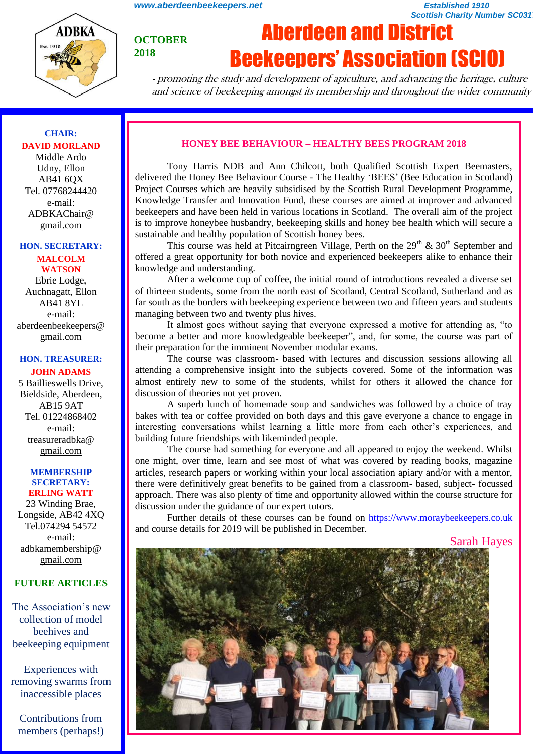**Scottish Charity Number SC031** 

**OCTOBER 2018**

# Aberdeen and District Beekeepers' Association (SCIO)

- promoting the study and development of apiculture, and advancing the heritage, culture and science of beekeeping amongst its membership and throughout the wider community

#### **CHAIR: DAVID MORLAND**

Middle Ardo Udny, Ellon AB41 6QX Tel. 07768244420 e-mail: ADBKAChair@ gmail.com

#### **HON. SECRETARY:**

**MALCOLM WATSON** Ebrie Lodge, Auchnagatt, Ellon AB41 8YL e-mail: aberdeenbeekeepers@ gmail.com

#### **HON. TREASURER:**

**JOHN ADAMS** 5 Baillieswells Drive, Bieldside, Aberdeen, AB15 9AT Tel. 01224868402 e-mail:

[treasureradbka@](https://e.mail.ru/compose/?mailto=mailto%3atreasureradbka@gmail.com)  [gmail.com](https://e.mail.ru/compose/?mailto=mailto%3atreasureradbka@gmail.com)

#### **MEMBERSHIP SECRETARY: ERLING WATT**

23 Winding Brae, Longside, AB42 4XQ Tel.074294 54572 e-mail: [adbkamembership@](mailto:watterlingg@aol.com) [gmail.com](mailto:watterlingg@aol.com)

#### **FUTURE ARTICLES**

The Association's new collection of model beehives and beekeeping equipment

Experiences with removing swarms from inaccessible places

Contributions from members (perhaps!)

#### **HONEY BEE BEHAVIOUR – HEALTHY BEES PROGRAM 2018**

Tony Harris NDB and Ann Chilcott, both Qualified Scottish Expert Beemasters, delivered the Honey Bee Behaviour Course - The Healthy 'BEES' (Bee Education in Scotland) Project Courses which are heavily subsidised by the Scottish Rural Development Programme, Knowledge Transfer and Innovation Fund, these courses are aimed at improver and advanced beekeepers and have been held in various locations in Scotland. The overall aim of the project is to improve honeybee husbandry, beekeeping skills and honey bee health which will secure a sustainable and healthy population of Scottish honey bees.

This course was held at Pitcairngreen Village, Perth on the  $29<sup>th</sup>$  &  $30<sup>th</sup>$  September and offered a great opportunity for both novice and experienced beekeepers alike to enhance their knowledge and understanding.

After a welcome cup of coffee, the initial round of introductions revealed a diverse set of thirteen students, some from the north east of Scotland, Central Scotland, Sutherland and as far south as the borders with beekeeping experience between two and fifteen years and students managing between two and twenty plus hives.

It almost goes without saying that everyone expressed a motive for attending as, "to become a better and more knowledgeable beekeeper", and, for some, the course was part of their preparation for the imminent November modular exams.

The course was classroom- based with lectures and discussion sessions allowing all attending a comprehensive insight into the subjects covered. Some of the information was almost entirely new to some of the students, whilst for others it allowed the chance for discussion of theories not yet proven.

A superb lunch of homemade soup and sandwiches was followed by a choice of tray bakes with tea or coffee provided on both days and this gave everyone a chance to engage in interesting conversations whilst learning a little more from each other's experiences, and building future friendships with likeminded people.

The course had something for everyone and all appeared to enjoy the weekend. Whilst one might, over time, learn and see most of what was covered by reading books, magazine articles, research papers or working within your local association apiary and/or with a mentor, there were definitively great benefits to be gained from a classroom- based, subject- focussed approach. There was also plenty of time and opportunity allowed within the course structure for discussion under the guidance of our expert tutors.

Further details of these courses can be found on https://www.moraybeekeepers.co.uk and course details for 2019 will be published in December.

Sarah Hayes



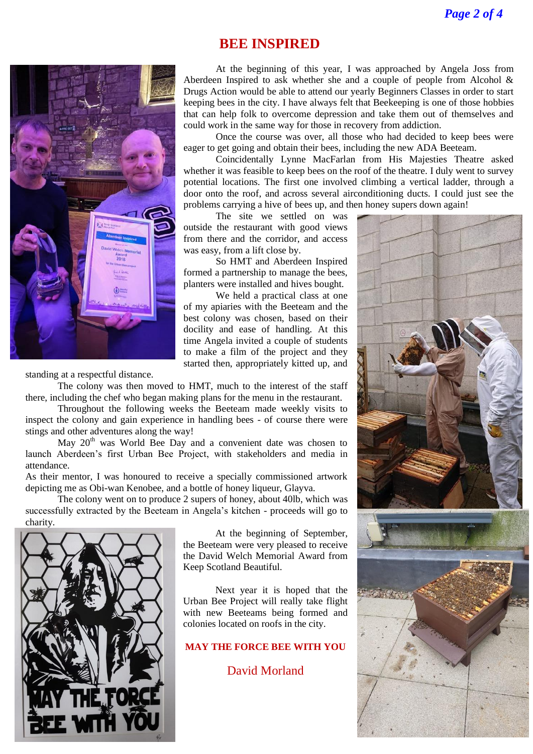## **BEE INSPIRED**



standing at a respectful distance.

The colony was then moved to HMT, much to the interest of the staff there, including the chef who began making plans for the menu in the restaurant.

Throughout the following weeks the Beeteam made weekly visits to inspect the colony and gain experience in handling bees - of course there were stings and other adventures along the way!

May  $20<sup>th</sup>$  was World Bee Day and a convenient date was chosen to launch Aberdeen's first Urban Bee Project, with stakeholders and media in attendance.

As their mentor, I was honoured to receive a specially commissioned artwork depicting me as Obi-wan Kenobee, and a bottle of honey liqueur, Glayva.

The colony went on to produce 2 supers of honey, about 40lb, which was successfully extracted by the Beeteam in Angela's kitchen - proceeds will go to charity.



At the beginning of September, the Beeteam were very pleased to receive the David Welch Memorial Award from Keep Scotland Beautiful.

Next year it is hoped that the Urban Bee Project will really take flight with new Beeteams being formed and colonies located on roofs in the city.

#### **MAY THE FORCE BEE WITH YOU**

David Morland

At the beginning of this year, I was approached by Angela Joss from Aberdeen Inspired to ask whether she and a couple of people from Alcohol  $\&$ Drugs Action would be able to attend our yearly Beginners Classes in order to start keeping bees in the city. I have always felt that Beekeeping is one of those hobbies that can help folk to overcome depression and take them out of themselves and could work in the same way for those in recovery from addiction.

Once the course was over, all those who had decided to keep bees were eager to get going and obtain their bees, including the new ADA Beeteam.

Coincidentally Lynne MacFarlan from His Majesties Theatre asked whether it was feasible to keep bees on the roof of the theatre. I duly went to survey potential locations. The first one involved climbing a vertical ladder, through a door onto the roof, and across several airconditioning ducts. I could just see the problems carrying a hive of bees up, and then honey supers down again!

The site we settled on was outside the restaurant with good views from there and the corridor, and access was easy, from a lift close by.

So HMT and Aberdeen Inspired formed a partnership to manage the bees, planters were installed and hives bought.

We held a practical class at one of my apiaries with the Beeteam and the best colony was chosen, based on their docility and ease of handling. At this time Angela invited a couple of students to make a film of the project and they started then, appropriately kitted up, and

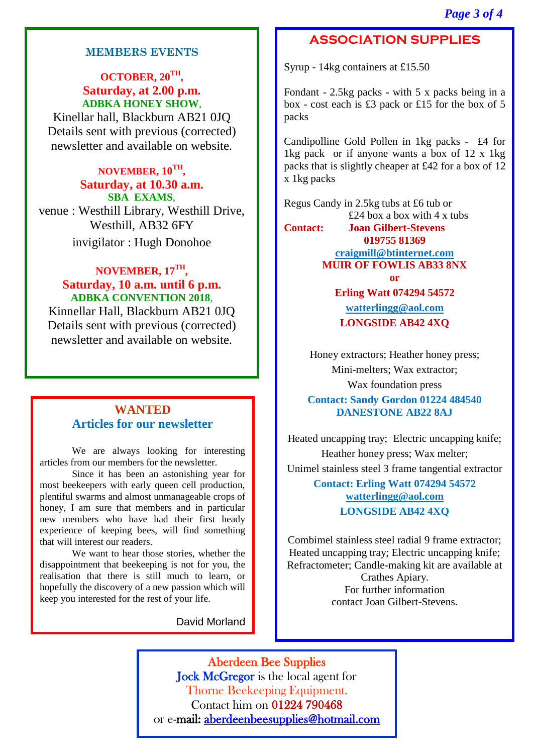### **MEMBERS EVENTS**

## **OCTOBER, 20TH , Saturday, at 2.00 p.m. ADBKA HONEY SHOW**,

Kinellar hall, Blackburn AB21 0JQ Details sent with previous (corrected) newsletter and available on website.

**NOVEMBER, 10TH , Saturday, at 10.30 a.m. SBA EXAMS**, venue : Westhill Library, Westhill Drive, Westhill, AB32 6FY invigilator : Hugh Donohoe

# **NOVEMBER, 17TH , Saturday, 10 a.m. until 6 p.m. ADBKA CONVENTION 2018**,

Kinnellar Hall, Blackburn AB21 0JQ Details sent with previous (corrected) newsletter and available on website.

## **WANTED Articles for our newsletter**

We are always looking for interesting articles from our members for the newsletter.

Since it has been an astonishing year for most beekeepers with early queen cell production, plentiful swarms and almost unmanageable crops of honey, I am sure that members and in particular new members who have had their first heady experience of keeping bees, will find something that will interest our readers.

We want to hear those stories, whether the disappointment that beekeeping is not for you, the realisation that there is still much to learn, or hopefully the discovery of a new passion which will keep you interested for the rest of your life.

David Morland

## **ASSOCIATION SUPPLIES**

Syrup - 14kg containers at £15.50

Fondant - 2.5kg packs - with 5 x packs being in a box - cost each is £3 pack or £15 for the box of 5 packs

Candipolline Gold Pollen in 1kg packs - £4 for 1kg pack or if anyone wants a box of 12 x 1kg packs that is slightly cheaper at £42 for a box of 12 x 1kg packs

Regus Candy in 2.5kg tubs at £6 tub or £24 box a box with 4 x tubs

**Contact: Joan Gilbert-Stevens 019755 81369 [craigmill@btinternet.com](mailto:craigmill@btinternet.com) MUIR OF FOWLIS AB33 8NX or Erling Watt 074294 54572 [watterlingg@aol.com](mailto:watterlingg@aol.com) LONGSIDE AB42 4XQ**

> Honey extractors; Heather honey press; Mini-melters; Wax extractor; Wax foundation press

**Contact: Sandy Gordon 01224 484540 DANESTONE AB22 8AJ**

Heated uncapping tray; Electric uncapping knife; Heather honey press; Wax melter; Unimel stainless steel 3 frame tangential extractor **Contact: Erling Watt 074294 54572 [watterlingg@aol.com](mailto:watterlingg@aol.com)**

**LONGSIDE AB42 4XQ**

Combimel stainless steel radial 9 frame extractor; Heated uncapping tray; Electric uncapping knife; Refractometer; Candle-making kit are available at Crathes Apiary. For further information contact Joan Gilbert-Stevens.

Aberdeen Bee Supplies Jock McGregor is the local agent for Thorne Beekeeping Equipment. Contact him on 01224 790468 or e-mail: [aberdeenbeesupplies@hotmail.com](mailto:aberdeenbeesupplies@hotmail.com)